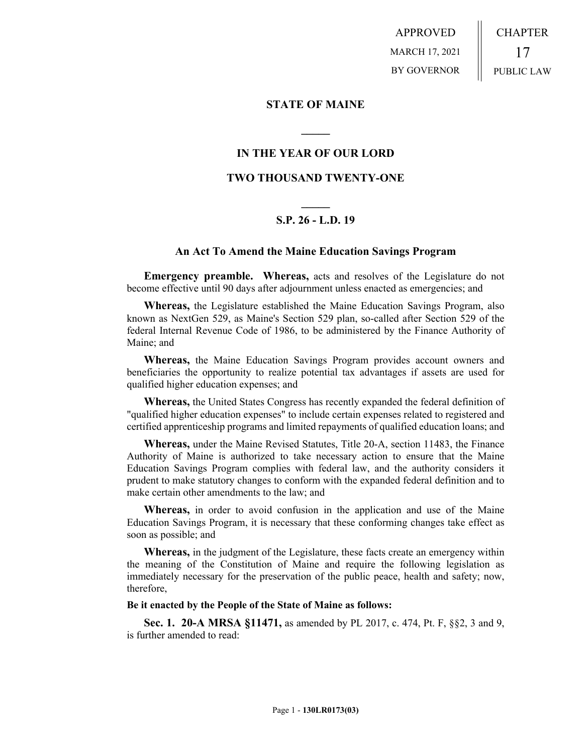APPROVED MARCH 17, 2021 BY GOVERNOR CHAPTER 17 PUBLIC LAW

## **STATE OF MAINE**

# **IN THE YEAR OF OUR LORD**

**\_\_\_\_\_**

# **TWO THOUSAND TWENTY-ONE**

# **\_\_\_\_\_ S.P. 26 - L.D. 19**

## **An Act To Amend the Maine Education Savings Program**

**Emergency preamble. Whereas,** acts and resolves of the Legislature do not become effective until 90 days after adjournment unless enacted as emergencies; and

**Whereas,** the Legislature established the Maine Education Savings Program, also known as NextGen 529, as Maine's Section 529 plan, so-called after Section 529 of the federal Internal Revenue Code of 1986, to be administered by the Finance Authority of Maine; and

**Whereas,** the Maine Education Savings Program provides account owners and beneficiaries the opportunity to realize potential tax advantages if assets are used for qualified higher education expenses; and

**Whereas,** the United States Congress has recently expanded the federal definition of "qualified higher education expenses" to include certain expenses related to registered and certified apprenticeship programs and limited repayments of qualified education loans; and

**Whereas,** under the Maine Revised Statutes, Title 20-A, section 11483, the Finance Authority of Maine is authorized to take necessary action to ensure that the Maine Education Savings Program complies with federal law, and the authority considers it prudent to make statutory changes to conform with the expanded federal definition and to make certain other amendments to the law; and

**Whereas,** in order to avoid confusion in the application and use of the Maine Education Savings Program, it is necessary that these conforming changes take effect as soon as possible; and

**Whereas,** in the judgment of the Legislature, these facts create an emergency within the meaning of the Constitution of Maine and require the following legislation as immediately necessary for the preservation of the public peace, health and safety; now, therefore,

#### **Be it enacted by the People of the State of Maine as follows:**

**Sec. 1. 20-A MRSA §11471,** as amended by PL 2017, c. 474, Pt. F, §§2, 3 and 9, is further amended to read: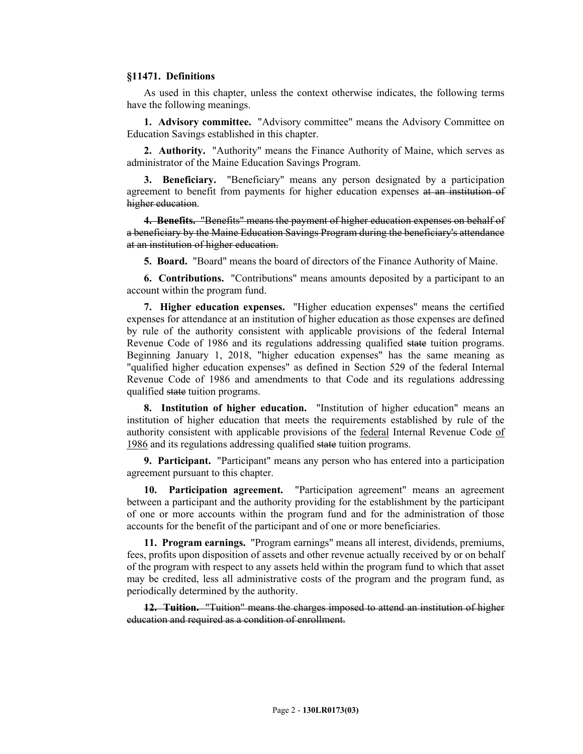#### **§11471. Definitions**

As used in this chapter, unless the context otherwise indicates, the following terms have the following meanings.

**1. Advisory committee.** "Advisory committee" means the Advisory Committee on Education Savings established in this chapter.

**2. Authority.** "Authority" means the Finance Authority of Maine, which serves as administrator of the Maine Education Savings Program.

**3. Beneficiary.** "Beneficiary" means any person designated by a participation agreement to benefit from payments for higher education expenses at an institution of higher education.

**4. Benefits.** "Benefits" means the payment of higher education expenses on behalf of a beneficiary by the Maine Education Savings Program during the beneficiary's attendance at an institution of higher education.

**5. Board.** "Board" means the board of directors of the Finance Authority of Maine.

**6. Contributions.** "Contributions" means amounts deposited by a participant to an account within the program fund.

**7. Higher education expenses.** "Higher education expenses" means the certified expenses for attendance at an institution of higher education as those expenses are defined by rule of the authority consistent with applicable provisions of the federal Internal Revenue Code of 1986 and its regulations addressing qualified state tuition programs. Beginning January 1, 2018, "higher education expenses" has the same meaning as "qualified higher education expenses" as defined in Section 529 of the federal Internal Revenue Code of 1986 and amendments to that Code and its regulations addressing qualified state tuition programs.

**8. Institution of higher education.** "Institution of higher education" means an institution of higher education that meets the requirements established by rule of the authority consistent with applicable provisions of the federal Internal Revenue Code of 1986 and its regulations addressing qualified state tuition programs.

**9. Participant.** "Participant" means any person who has entered into a participation agreement pursuant to this chapter.

**10. Participation agreement.** "Participation agreement" means an agreement between a participant and the authority providing for the establishment by the participant of one or more accounts within the program fund and for the administration of those accounts for the benefit of the participant and of one or more beneficiaries.

**11. Program earnings.** "Program earnings" means all interest, dividends, premiums, fees, profits upon disposition of assets and other revenue actually received by or on behalf of the program with respect to any assets held within the program fund to which that asset may be credited, less all administrative costs of the program and the program fund, as periodically determined by the authority.

**12. Tuition.** "Tuition" means the charges imposed to attend an institution of higher education and required as a condition of enrollment.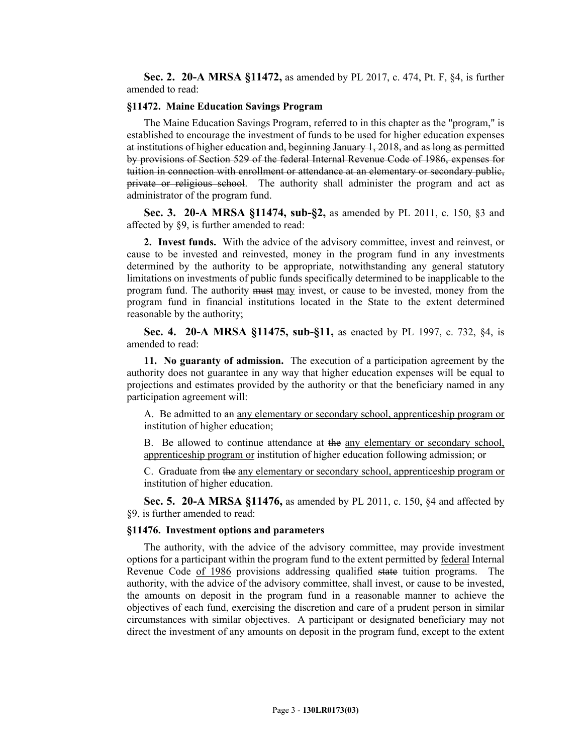**Sec. 2. 20-A MRSA §11472,** as amended by PL 2017, c. 474, Pt. F, §4, is further amended to read:

#### **§11472. Maine Education Savings Program**

The Maine Education Savings Program, referred to in this chapter as the "program," is established to encourage the investment of funds to be used for higher education expenses at institutions of higher education and, beginning January 1, 2018, and as long as permitted by provisions of Section 529 of the federal Internal Revenue Code of 1986, expenses for tuition in connection with enrollment or attendance at an elementary or secondary public, private or religious school. The authority shall administer the program and act as administrator of the program fund.

**Sec. 3. 20-A MRSA §11474, sub-§2,** as amended by PL 2011, c. 150, §3 and affected by §9, is further amended to read:

**2. Invest funds.** With the advice of the advisory committee, invest and reinvest, or cause to be invested and reinvested, money in the program fund in any investments determined by the authority to be appropriate, notwithstanding any general statutory limitations on investments of public funds specifically determined to be inapplicable to the program fund. The authority must may invest, or cause to be invested, money from the program fund in financial institutions located in the State to the extent determined reasonable by the authority;

**Sec. 4. 20-A MRSA §11475, sub-§11,** as enacted by PL 1997, c. 732, §4, is amended to read:

**11. No guaranty of admission.** The execution of a participation agreement by the authority does not guarantee in any way that higher education expenses will be equal to projections and estimates provided by the authority or that the beneficiary named in any participation agreement will:

A. Be admitted to an any elementary or secondary school, apprenticeship program or institution of higher education;

B. Be allowed to continue attendance at the any elementary or secondary school, apprenticeship program or institution of higher education following admission; or

C. Graduate from the any elementary or secondary school, apprenticeship program or institution of higher education.

**Sec. 5. 20-A MRSA §11476,** as amended by PL 2011, c. 150, §4 and affected by §9, is further amended to read:

#### **§11476. Investment options and parameters**

The authority, with the advice of the advisory committee, may provide investment options for a participant within the program fund to the extent permitted by federal Internal Revenue Code of 1986 provisions addressing qualified state tuition programs. The authority, with the advice of the advisory committee, shall invest, or cause to be invested, the amounts on deposit in the program fund in a reasonable manner to achieve the objectives of each fund, exercising the discretion and care of a prudent person in similar circumstances with similar objectives. A participant or designated beneficiary may not direct the investment of any amounts on deposit in the program fund, except to the extent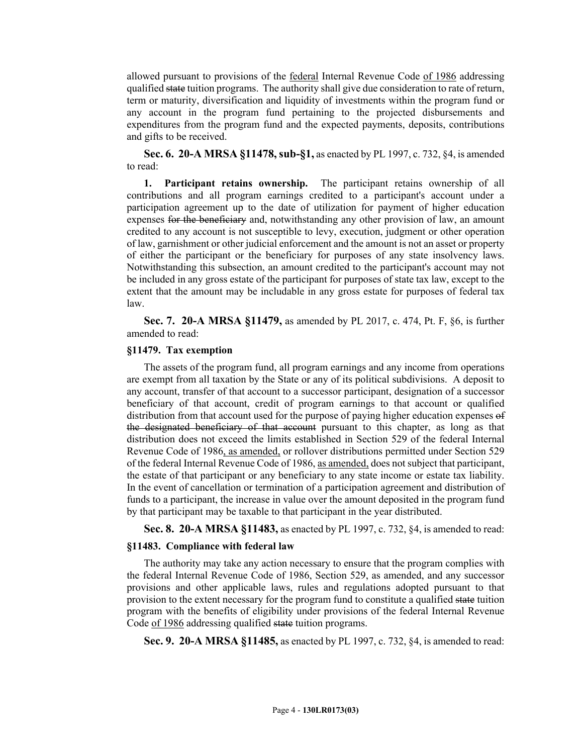allowed pursuant to provisions of the federal Internal Revenue Code of 1986 addressing qualified state tuition programs. The authority shall give due consideration to rate of return, term or maturity, diversification and liquidity of investments within the program fund or any account in the program fund pertaining to the projected disbursements and expenditures from the program fund and the expected payments, deposits, contributions and gifts to be received.

**Sec. 6. 20-A MRSA §11478, sub-§1,** as enacted by PL 1997, c. 732, §4, is amended to read:

**1. Participant retains ownership.** The participant retains ownership of all contributions and all program earnings credited to a participant's account under a participation agreement up to the date of utilization for payment of higher education expenses for the beneficiary and, notwithstanding any other provision of law, an amount credited to any account is not susceptible to levy, execution, judgment or other operation of law, garnishment or other judicial enforcement and the amount is not an asset or property of either the participant or the beneficiary for purposes of any state insolvency laws. Notwithstanding this subsection, an amount credited to the participant's account may not be included in any gross estate of the participant for purposes of state tax law, except to the extent that the amount may be includable in any gross estate for purposes of federal tax law.

**Sec. 7. 20-A MRSA §11479,** as amended by PL 2017, c. 474, Pt. F, §6, is further amended to read:

## **§11479. Tax exemption**

The assets of the program fund, all program earnings and any income from operations are exempt from all taxation by the State or any of its political subdivisions. A deposit to any account, transfer of that account to a successor participant, designation of a successor beneficiary of that account, credit of program earnings to that account or qualified distribution from that account used for the purpose of paying higher education expenses of the designated beneficiary of that account pursuant to this chapter, as long as that distribution does not exceed the limits established in Section 529 of the federal Internal Revenue Code of 1986, as amended, or rollover distributions permitted under Section 529 of the federal Internal Revenue Code of 1986, as amended, does not subject that participant, the estate of that participant or any beneficiary to any state income or estate tax liability. In the event of cancellation or termination of a participation agreement and distribution of funds to a participant, the increase in value over the amount deposited in the program fund by that participant may be taxable to that participant in the year distributed.

**Sec. 8. 20-A MRSA §11483,** as enacted by PL 1997, c. 732, §4, is amended to read:

#### **§11483. Compliance with federal law**

The authority may take any action necessary to ensure that the program complies with the federal Internal Revenue Code of 1986, Section 529, as amended, and any successor provisions and other applicable laws, rules and regulations adopted pursuant to that provision to the extent necessary for the program fund to constitute a qualified state tuition program with the benefits of eligibility under provisions of the federal Internal Revenue Code of 1986 addressing qualified state tuition programs.

**Sec. 9. 20-A MRSA §11485,** as enacted by PL 1997, c. 732, §4, is amended to read: